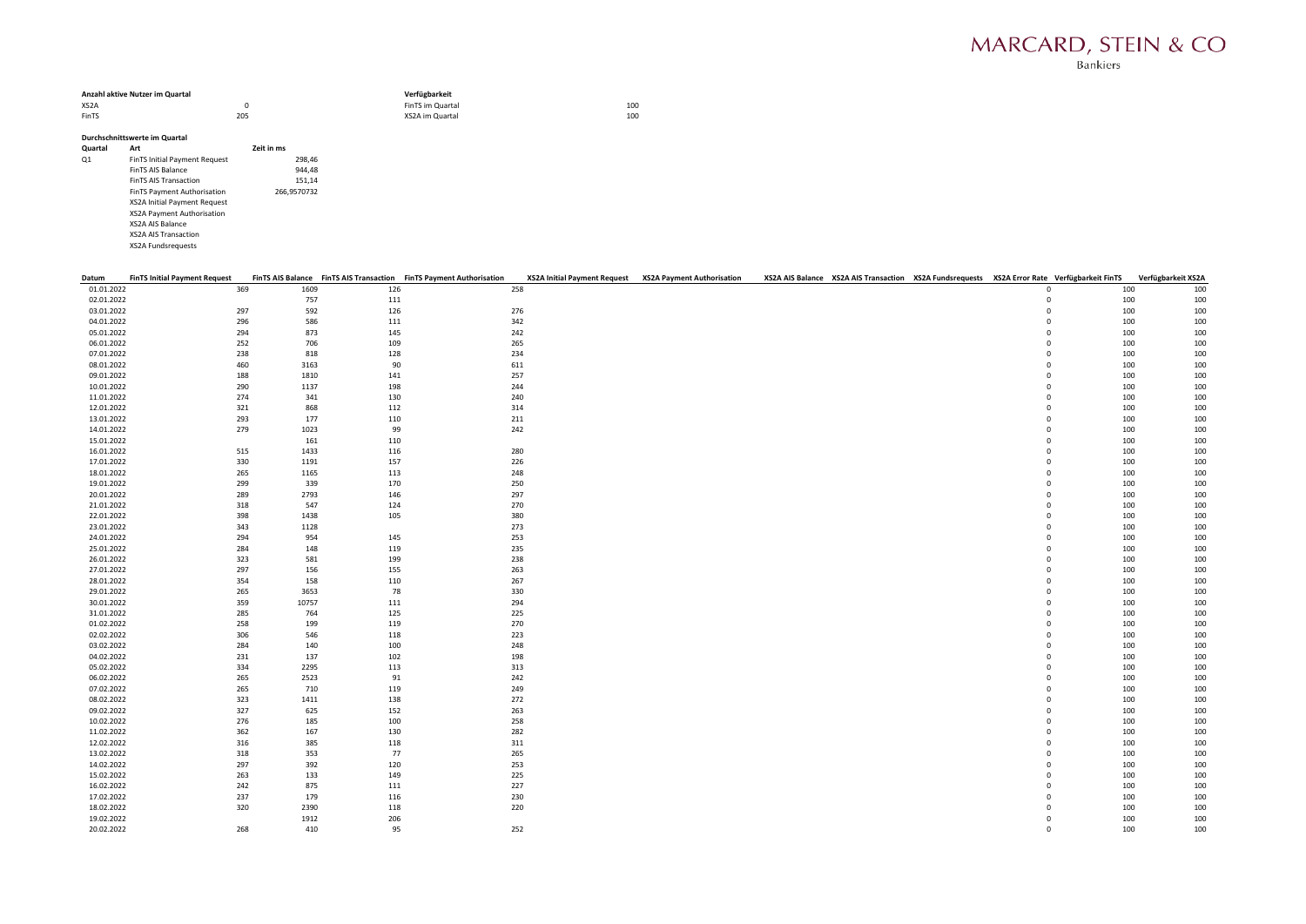| Anzahl aktive Nutzer im Quartal |     | Verfügbarkeit    |     |  |  |  |  |
|---------------------------------|-----|------------------|-----|--|--|--|--|
| XS <sub>2</sub> A               |     | FinTS im Quartal | 100 |  |  |  |  |
| FinTS                           | 205 | XS2A im Quartal  | 100 |  |  |  |  |

## Durchschnittswerte im Quartal

| Art                                  | Zeit in ms  |
|--------------------------------------|-------------|
| <b>FinTS Initial Payment Request</b> | 298,46      |
| <b>FinTS AIS Balance</b>             | 944.48      |
| <b>FinTS AIS Transaction</b>         | 151.14      |
| FinTS Payment Authorisation          | 266.9570732 |
| <b>XS2A Initial Payment Request</b>  |             |
| XS2A Payment Authorisation           |             |
| <b>XS2A AIS Balance</b>              |             |
| <b>XS2A AIS Transaction</b>          |             |
| <b>XS2A Fundsrequests</b>            |             |
|                                      |             |

| Datum      | <b>FinTS Initial Payment Request</b> |       |     | FinTS AIS Balance FinTS AIS Transaction FinTS Payment Authorisation | XS2A Initial Payment Request XS2A Payment Authorisation |  | XS2A AIS Balance XS2A AIS Transaction XS2A Fundsrequests XS2A Error Rate Verfügbarkeit FinTS Verfügbarkeit XS2A |             |     |     |
|------------|--------------------------------------|-------|-----|---------------------------------------------------------------------|---------------------------------------------------------|--|-----------------------------------------------------------------------------------------------------------------|-------------|-----|-----|
| 01.01.2022 | 369                                  | 1609  | 126 | 258                                                                 |                                                         |  |                                                                                                                 | $\Omega$    | 100 | 100 |
| 02.01.2022 |                                      | 757   | 111 |                                                                     |                                                         |  |                                                                                                                 | $\mathbf 0$ | 100 | 100 |
| 03.01.2022 | 297                                  | 592   | 126 | 276                                                                 |                                                         |  |                                                                                                                 | $\mathbf 0$ | 100 | 100 |
| 04.01.2022 | 296                                  | 586   | 111 | 342                                                                 |                                                         |  |                                                                                                                 | $\mathbf 0$ | 100 | 100 |
| 05.01.2022 | 294                                  | 873   | 145 | 242                                                                 |                                                         |  |                                                                                                                 | $\mathbf 0$ | 100 | 100 |
| 06.01.2022 | 252                                  | 706   | 109 | 265                                                                 |                                                         |  |                                                                                                                 | $\mathbf 0$ | 100 | 100 |
| 07.01.2022 | 238                                  | 818   | 128 | 234                                                                 |                                                         |  |                                                                                                                 | $\mathbf 0$ | 100 | 100 |
| 08.01.2022 | 460                                  | 3163  |     | 90<br>611                                                           |                                                         |  |                                                                                                                 | $\mathbf 0$ | 100 | 100 |
| 09.01.2022 | 188                                  | 1810  | 141 | 257                                                                 |                                                         |  |                                                                                                                 | $\mathbf 0$ | 100 | 100 |
| 10.01.2022 | 290                                  | 1137  | 198 | 244                                                                 |                                                         |  |                                                                                                                 | $\mathbf 0$ | 100 | 100 |
| 11.01.2022 | 274                                  | 341   | 130 | 240                                                                 |                                                         |  |                                                                                                                 | $\mathbf 0$ | 100 | 100 |
| 12.01.2022 | 321                                  | 868   | 112 | 314                                                                 |                                                         |  |                                                                                                                 | $\mathbf 0$ | 100 | 100 |
| 13.01.2022 | 293                                  | 177   | 110 | 211                                                                 |                                                         |  |                                                                                                                 | $\mathbf 0$ | 100 | 100 |
| 14.01.2022 | 279                                  | 1023  |     | 242<br>99                                                           |                                                         |  |                                                                                                                 | $\mathbf 0$ | 100 | 100 |
| 15.01.2022 |                                      | 161   | 110 |                                                                     |                                                         |  |                                                                                                                 | $\mathbf 0$ | 100 | 100 |
| 16.01.2022 | 515                                  | 1433  | 116 | 280                                                                 |                                                         |  |                                                                                                                 | $\mathbf 0$ | 100 | 100 |
| 17.01.2022 | 330                                  | 1191  | 157 | 226                                                                 |                                                         |  |                                                                                                                 | $\mathbf 0$ | 100 | 100 |
| 18.01.2022 | 265                                  | 1165  | 113 | 248                                                                 |                                                         |  |                                                                                                                 | $\mathbf 0$ | 100 | 100 |
| 19.01.2022 | 299                                  | 339   | 170 | 250                                                                 |                                                         |  |                                                                                                                 | $\mathbf 0$ | 100 | 100 |
| 20.01.2022 | 289                                  | 2793  | 146 | 297                                                                 |                                                         |  |                                                                                                                 | $\mathbf 0$ | 100 | 100 |
| 21.01.2022 | 318                                  | 547   | 124 | 270                                                                 |                                                         |  |                                                                                                                 | $\mathbf 0$ | 100 | 100 |
| 22.01.2022 | 398                                  | 1438  | 105 | 380                                                                 |                                                         |  |                                                                                                                 | $\mathbf 0$ | 100 | 100 |
| 23.01.2022 | 343                                  | 1128  |     | 273                                                                 |                                                         |  |                                                                                                                 | $\mathbf 0$ | 100 | 100 |
| 24.01.2022 | 294                                  | 954   | 145 | 253                                                                 |                                                         |  |                                                                                                                 | 0           | 100 | 100 |
| 25.01.2022 | 284                                  | 148   | 119 | 235                                                                 |                                                         |  |                                                                                                                 | $\mathbf 0$ | 100 | 100 |
| 26.01.2022 | 323                                  | 581   | 199 | 238                                                                 |                                                         |  |                                                                                                                 | $\mathbf 0$ | 100 | 100 |
| 27.01.2022 | 297                                  | 156   | 155 | 263                                                                 |                                                         |  |                                                                                                                 | $\mathbf 0$ | 100 | 100 |
| 28.01.2022 | 354                                  | 158   | 110 | 267                                                                 |                                                         |  |                                                                                                                 | $\mathbf 0$ | 100 | 100 |
| 29.01.2022 | 265                                  | 3653  |     | 78<br>330                                                           |                                                         |  |                                                                                                                 | $\mathbf 0$ | 100 | 100 |
| 30.01.2022 | 359                                  | 10757 | 111 | 294                                                                 |                                                         |  |                                                                                                                 | $\mathbf 0$ | 100 | 100 |
| 31.01.2022 | 285                                  | 764   | 125 | 225                                                                 |                                                         |  |                                                                                                                 | 0           | 100 | 100 |
| 01.02.2022 | 258                                  | 199   | 119 | 270                                                                 |                                                         |  |                                                                                                                 | $\mathbf 0$ | 100 | 100 |
| 02.02.2022 | 306                                  | 546   | 118 | 223                                                                 |                                                         |  |                                                                                                                 | $\mathbf 0$ | 100 | 100 |
| 03.02.2022 | 284                                  | 140   | 100 | 248                                                                 |                                                         |  |                                                                                                                 | $\mathbf 0$ | 100 | 100 |
| 04.02.2022 | 231                                  | 137   | 102 | 198                                                                 |                                                         |  |                                                                                                                 | $\mathbf 0$ | 100 | 100 |
| 05.02.2022 | 334                                  | 2295  | 113 | 313                                                                 |                                                         |  |                                                                                                                 | $\mathbf 0$ | 100 | 100 |
| 06.02.2022 | 265                                  | 2523  |     | 242<br>91                                                           |                                                         |  |                                                                                                                 | $\mathbf 0$ | 100 | 100 |
| 07.02.2022 | 265                                  | 710   | 119 | 249                                                                 |                                                         |  |                                                                                                                 | 0           | 100 | 100 |
| 08.02.2022 | 323                                  | 1411  | 138 | 272                                                                 |                                                         |  |                                                                                                                 | $\mathbf 0$ | 100 | 100 |
| 09.02.2022 | 327                                  | 625   | 152 | 263                                                                 |                                                         |  |                                                                                                                 | $\mathbf 0$ | 100 | 100 |
| 10.02.2022 | 276                                  | 185   | 100 | 258                                                                 |                                                         |  |                                                                                                                 | $\mathbf 0$ | 100 | 100 |
| 11.02.2022 | 362                                  | 167   | 130 | 282                                                                 |                                                         |  |                                                                                                                 | $\mathbf 0$ | 100 | 100 |
| 12.02.2022 | 316                                  | 385   | 118 | 311                                                                 |                                                         |  |                                                                                                                 | $\mathbf 0$ | 100 | 100 |
| 13.02.2022 | 318                                  | 353   |     | 77<br>265                                                           |                                                         |  |                                                                                                                 | $\mathbf 0$ | 100 | 100 |
| 14.02.2022 | 297                                  | 392   | 120 | 253                                                                 |                                                         |  |                                                                                                                 | $\mathbf 0$ | 100 | 100 |
| 15.02.2022 | 263                                  | 133   | 149 | 225                                                                 |                                                         |  |                                                                                                                 | $\mathbf 0$ | 100 | 100 |
| 16.02.2022 | 242                                  | 875   | 111 | 227                                                                 |                                                         |  |                                                                                                                 | $\mathbf 0$ | 100 | 100 |
| 17.02.2022 | 237                                  | 179   | 116 | 230                                                                 |                                                         |  |                                                                                                                 | $\mathbf 0$ | 100 | 100 |
| 18.02.2022 | 320                                  | 2390  | 118 | 220                                                                 |                                                         |  |                                                                                                                 | $\mathbf 0$ | 100 | 100 |
| 19.02.2022 |                                      | 1912  | 206 |                                                                     |                                                         |  |                                                                                                                 | $\mathbf 0$ | 100 | 100 |
| 20.02.2022 | 268                                  | 410   |     | 95<br>252                                                           |                                                         |  |                                                                                                                 | $\Omega$    | 100 | 100 |